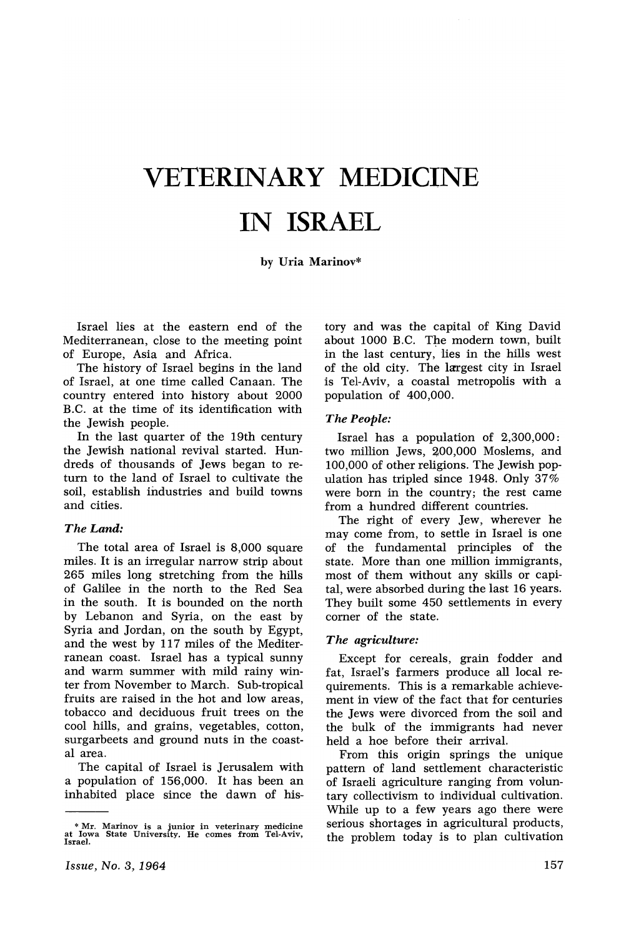# VETERINARY MEDICINE IN ISRAEL

by Uria Marinov\*

Israel lies at the eastern end of the Mediterranean, close to the meeting point of Europe, Asia and Africa.

The history of Israel begins in the land of Israel, at one time called Canaan. The country entered into history about 2000 B.C. at the time of its identification with the Jewish people.

In the last quarter of the 19th century the Jewish national revival started. Hundreds of thousands of Jews began to return to the land of Israel to cultivate the soil, establish industries and build towns and cities.

### *The Land:*

The total area of Israel is 8,000 square miles. It is an irregular narrow strip about 265 miles long stretching from the hills of Galilee in the north to the Red Sea in the south. It is bounded on the north by Lebanon and Syria, on the east by Syria and Jordan, on the south by Egypt, and the west by 117 miles of the Mediterranean coast. Israel has a typical sunny and warm summer with mild rainy winter from November to March. Sub-tropical fruits are raised in the hot and low areas, tobacco and deciduous fruit trees on the cool hills, and grains, vegetables, cotton, surgarbeets and ground nuts in the coastal area.

The capital of Israel is Jerusalem with a population of 156,000. It has been an inhabited place since the dawn of history and was the capital of King David about 1000 B.C. The modern town, built in the last century, lies in the hills west of the old city. The largest city in Israel is Tel-Aviv, a coastal metropolis with a population of 400,000.

### *The People:*

Israel has a population of 2,300,000: two million Jews, 200,000 Moslems, and 100,000 of other religions. The Jewish population has tripled since 1948. Only 37% were born in the country; the rest came from a hundred different countries.

The right of every Jew, wherever he may come from, to settle in Israel is one of the fundamental principles of the state. More than one million immigrants, most of them without any skills or capital, were absorbed during the last 16 years. They built some 450 settlements in every corner of the state.

### *The agriculture:*

Except for cereals, grain fodder and fat, Israel's farmers produce all local requirements. This is a remarkable achievement in view of the fact that for centuries the Jews were divorced from the soil and the bulk of the immigrants had never held a hoe before their arrival.

From this origin springs the unique pattern of land settlement characteristic of Israeli agriculture ranging from voluntary collectivism to individual cultivation. While up to a few years ago there were serious shortages in agricultural products, the problem today is to plan cultivation

<sup>\*</sup> Mr. Marinov is <sup>a</sup> junior in veterinary medicine at Iowa State University. He comes from Tel-Aviv, Israel.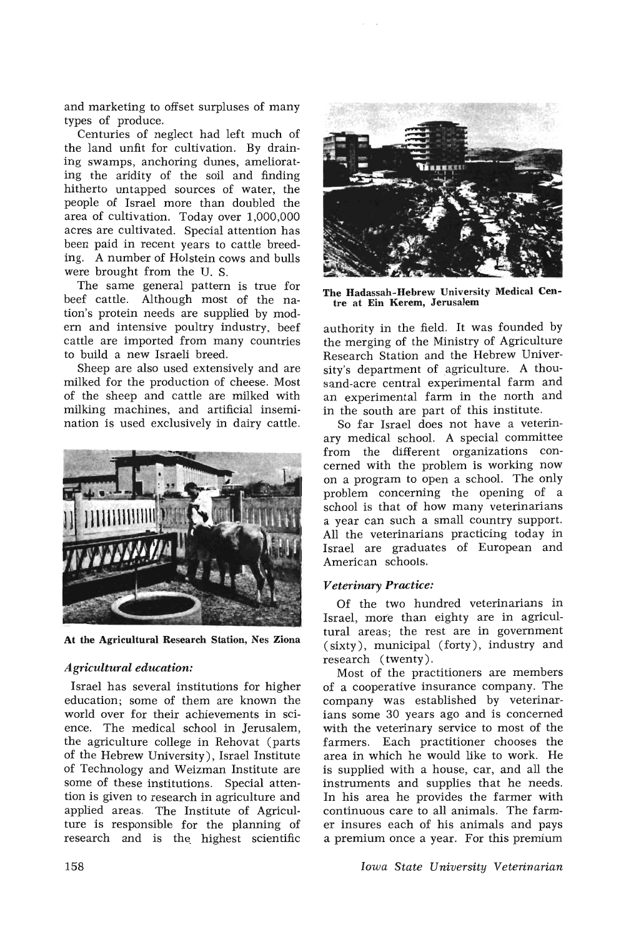and marketing to offset surpluses of many types of produce.

Centuries of neglect had left much of the land unfit for cultivation. By draining swamps, anchoring dunes, ameliorating the aridity of the soil and finding hitherto untapped sources of water, the people of Israel more than doubled the area of cultivation. Today over 1,000,000 acres are cultivated. Special attention has been paid in recent years to cattle breeding. A number of Holstein cows and bulls were brought from the U. S.

The same general pattern is true for beef cattle. Although most of the nation's protein needs are supplied by modern and intensive poultry industry, beef cattle are imported from many countries to build a new Israeli breed.

Sheep are also used extensively and are milked for the production of cheese. Most of the sheep and cattle are milked with milking machines, and artificial insemination is used exclusively in dairy cattle.



At the Agricultural Research Station, Nes Ziona

## *Agricultural education:*

Israel has several institutions for higher education; some of them are known the world over for their achievements in science. The medical school in Jerusalem, the agriculture college in Rehovat (parts of the Hebrew University), Israel Institute of Technology and Weizman Institute are some of these institutions. Special attention is given to research in agriculture and applied areas. The Institute of Agriculture is responsible for the planning of research and is the, highest scientific



The Hadassah-Hebrew University Medical Centre at Ein Kerem, Jerusalem

authority in the field. It was founded by the merging of the Ministry of Agriculture Research Station and the Hebrew University's department of agriculture. A thousand-acre central experimental farm and an experimental farm in the north and in the south are part of this institute.

So far Israel does not have a veterinary medical school. A special committee from the different organizations concerned with the problem is working now on a program to open a school. The only problem concerning the opening of a school is that of how many veterinarians a year can such a small country support. All the veterinarians practicing today in Israel are graduates of European and American schools.

## *Veterinary Practice:*

Of the two hundred veterinarians in Israel, more than eighty are in agricultural areas; the rest are in government (sixty), municipal (forty), industry and research (twenty).

Most of the practitioners are members of a cooperative insurance company. The company was established by veterinarians some 30 years ago and is concerned with the veterinary service to most of the farmers. Each practitioner chooses the area in which he would like to work. He is supplied with a house, car, and all the instruments and supplies that he needs. In his area he provides the farmer with continuous care to all animals. The farmer insures each of his animals and pays a premium once a year. For this premium